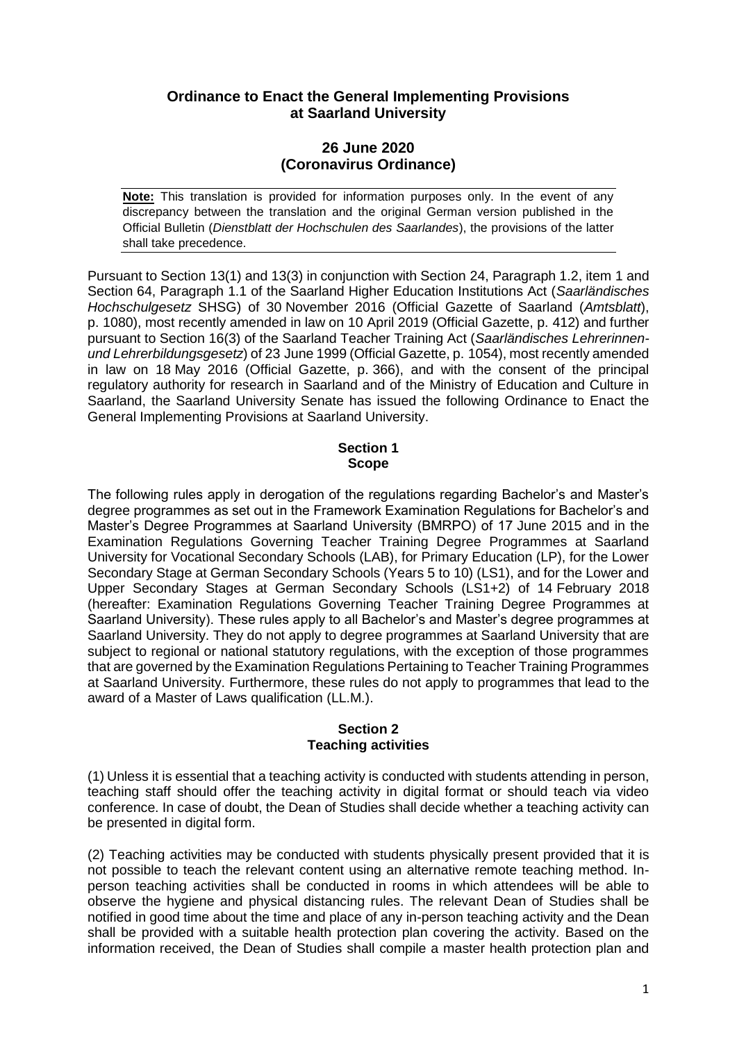# **Ordinance to Enact the General Implementing Provisions at Saarland University**

# **26 June 2020 (Coronavirus Ordinance)**

**Note:** This translation is provided for information purposes only. In the event of any discrepancy between the translation and the original German version published in the Official Bulletin (*Dienstblatt der Hochschulen des Saarlandes*), the provisions of the latter shall take precedence.

Pursuant to Section 13(1) and 13(3) in conjunction with Section 24, Paragraph 1.2, item 1 and Section 64, Paragraph 1.1 of the Saarland Higher Education Institutions Act (*Saarländisches Hochschulgesetz* SHSG) of 30 November 2016 (Official Gazette of Saarland (*Amtsblatt*), p. 1080), most recently amended in law on 10 April 2019 (Official Gazette, p. 412) and further pursuant to Section 16(3) of the Saarland Teacher Training Act (*Saarländisches Lehrerinnenund Lehrerbildungsgesetz*) of 23 June 1999 (Official Gazette, p. 1054), most recently amended in law on 18 May 2016 (Official Gazette, p. 366), and with the consent of the principal regulatory authority for research in Saarland and of the Ministry of Education and Culture in Saarland, the Saarland University Senate has issued the following Ordinance to Enact the General Implementing Provisions at Saarland University.

## **Section 1 Scope**

The following rules apply in derogation of the regulations regarding Bachelor's and Master's degree programmes as set out in the Framework Examination Regulations for Bachelor's and Master's Degree Programmes at Saarland University (BMRPO) of 17 June 2015 and in the Examination Regulations Governing Teacher Training Degree Programmes at Saarland University for Vocational Secondary Schools (LAB), for Primary Education (LP), for the Lower Secondary Stage at German Secondary Schools (Years 5 to 10) (LS1), and for the Lower and Upper Secondary Stages at German Secondary Schools (LS1+2) of 14 February 2018 (hereafter: Examination Regulations Governing Teacher Training Degree Programmes at Saarland University). These rules apply to all Bachelor's and Master's degree programmes at Saarland University. They do not apply to degree programmes at Saarland University that are subject to regional or national statutory regulations, with the exception of those programmes that are governed by the Examination Regulations Pertaining to Teacher Training Programmes at Saarland University. Furthermore, these rules do not apply to programmes that lead to the award of a Master of Laws qualification (LL.M.).

### **Section 2 Teaching activities**

(1) Unless it is essential that a teaching activity is conducted with students attending in person, teaching staff should offer the teaching activity in digital format or should teach via video conference. In case of doubt, the Dean of Studies shall decide whether a teaching activity can be presented in digital form.

(2) Teaching activities may be conducted with students physically present provided that it is not possible to teach the relevant content using an alternative remote teaching method. Inperson teaching activities shall be conducted in rooms in which attendees will be able to observe the hygiene and physical distancing rules. The relevant Dean of Studies shall be notified in good time about the time and place of any in-person teaching activity and the Dean shall be provided with a suitable health protection plan covering the activity. Based on the information received, the Dean of Studies shall compile a master health protection plan and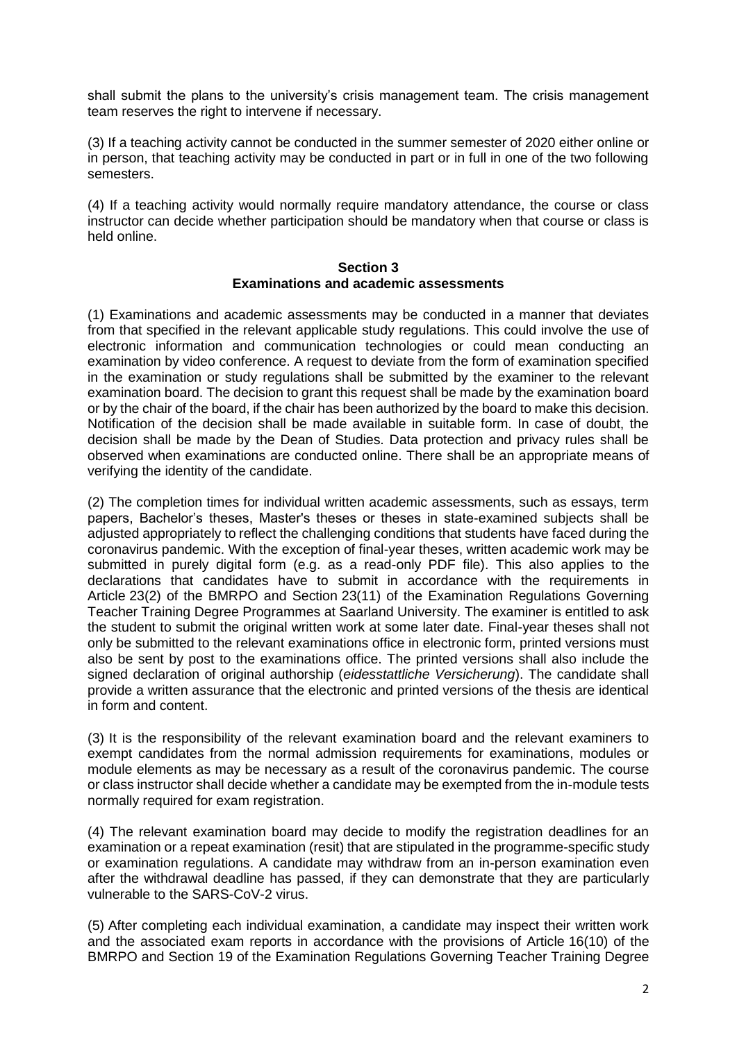shall submit the plans to the university's crisis management team. The crisis management team reserves the right to intervene if necessary.

(3) If a teaching activity cannot be conducted in the summer semester of 2020 either online or in person, that teaching activity may be conducted in part or in full in one of the two following semesters.

(4) If a teaching activity would normally require mandatory attendance, the course or class instructor can decide whether participation should be mandatory when that course or class is held online.

### **Section 3 Examinations and academic assessments**

(1) Examinations and academic assessments may be conducted in a manner that deviates from that specified in the relevant applicable study regulations. This could involve the use of electronic information and communication technologies or could mean conducting an examination by video conference. A request to deviate from the form of examination specified in the examination or study regulations shall be submitted by the examiner to the relevant examination board. The decision to grant this request shall be made by the examination board or by the chair of the board, if the chair has been authorized by the board to make this decision. Notification of the decision shall be made available in suitable form. In case of doubt, the decision shall be made by the Dean of Studies. Data protection and privacy rules shall be observed when examinations are conducted online. There shall be an appropriate means of verifying the identity of the candidate.

(2) The completion times for individual written academic assessments, such as essays, term papers, Bachelor's theses, Master's theses or theses in state-examined subjects shall be adjusted appropriately to reflect the challenging conditions that students have faced during the coronavirus pandemic. With the exception of final-year theses, written academic work may be submitted in purely digital form (e.g. as a read-only PDF file). This also applies to the declarations that candidates have to submit in accordance with the requirements in Article 23(2) of the BMRPO and Section 23(11) of the Examination Regulations Governing Teacher Training Degree Programmes at Saarland University. The examiner is entitled to ask the student to submit the original written work at some later date. Final-year theses shall not only be submitted to the relevant examinations office in electronic form, printed versions must also be sent by post to the examinations office. The printed versions shall also include the signed declaration of original authorship (*eidesstattliche Versicherung*). The candidate shall provide a written assurance that the electronic and printed versions of the thesis are identical in form and content.

(3) It is the responsibility of the relevant examination board and the relevant examiners to exempt candidates from the normal admission requirements for examinations, modules or module elements as may be necessary as a result of the coronavirus pandemic. The course or class instructor shall decide whether a candidate may be exempted from the in-module tests normally required for exam registration.

(4) The relevant examination board may decide to modify the registration deadlines for an examination or a repeat examination (resit) that are stipulated in the programme-specific study or examination regulations. A candidate may withdraw from an in-person examination even after the withdrawal deadline has passed, if they can demonstrate that they are particularly vulnerable to the SARS-CoV-2 virus.

(5) After completing each individual examination, a candidate may inspect their written work and the associated exam reports in accordance with the provisions of Article 16(10) of the BMRPO and Section 19 of the Examination Regulations Governing Teacher Training Degree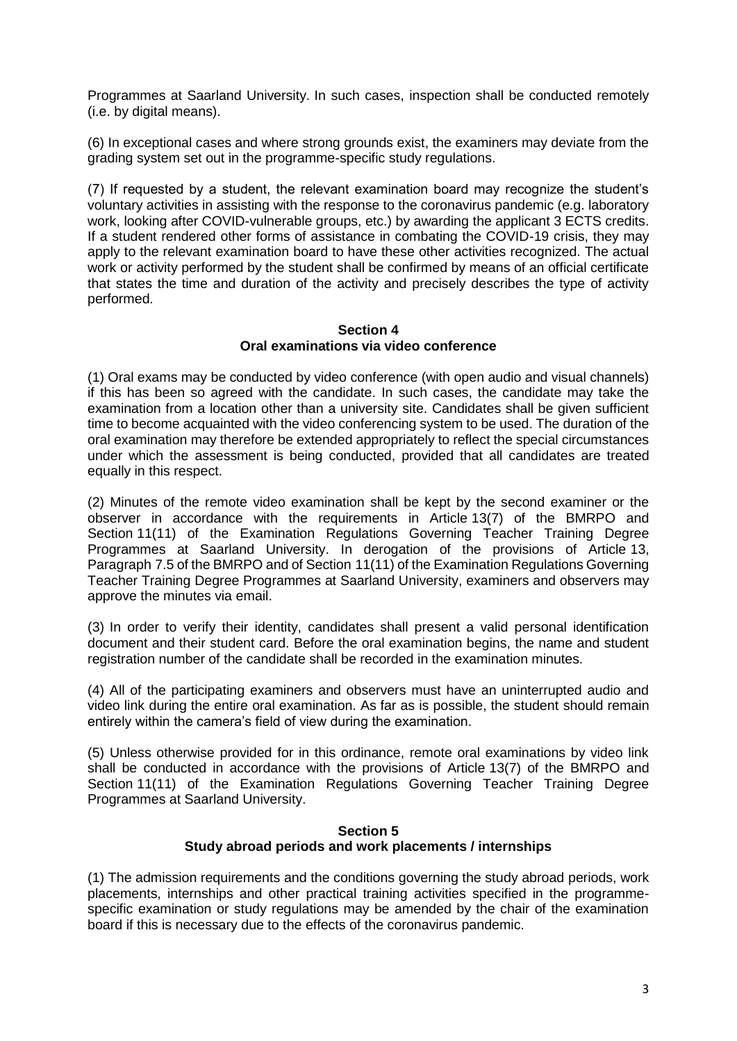Programmes at Saarland University. In such cases, inspection shall be conducted remotely (i.e. by digital means).

(6) In exceptional cases and where strong grounds exist, the examiners may deviate from the grading system set out in the programme-specific study regulations.

(7) If requested by a student, the relevant examination board may recognize the student's voluntary activities in assisting with the response to the coronavirus pandemic (e.g. laboratory work, looking after COVID-vulnerable groups, etc.) by awarding the applicant 3 ECTS credits. If a student rendered other forms of assistance in combating the COVID-19 crisis, they may apply to the relevant examination board to have these other activities recognized. The actual work or activity performed by the student shall be confirmed by means of an official certificate that states the time and duration of the activity and precisely describes the type of activity performed.

### **Section 4 Oral examinations via video conference**

(1) Oral exams may be conducted by video conference (with open audio and visual channels) if this has been so agreed with the candidate. In such cases, the candidate may take the examination from a location other than a university site. Candidates shall be given sufficient time to become acquainted with the video conferencing system to be used. The duration of the oral examination may therefore be extended appropriately to reflect the special circumstances under which the assessment is being conducted, provided that all candidates are treated equally in this respect.

(2) Minutes of the remote video examination shall be kept by the second examiner or the observer in accordance with the requirements in Article 13(7) of the BMRPO and Section 11(11) of the Examination Regulations Governing Teacher Training Degree Programmes at Saarland University. In derogation of the provisions of Article 13, Paragraph 7.5 of the BMRPO and of Section 11(11) of the Examination Regulations Governing Teacher Training Degree Programmes at Saarland University, examiners and observers may approve the minutes via email.

(3) In order to verify their identity, candidates shall present a valid personal identification document and their student card. Before the oral examination begins, the name and student registration number of the candidate shall be recorded in the examination minutes.

(4) All of the participating examiners and observers must have an uninterrupted audio and video link during the entire oral examination. As far as is possible, the student should remain entirely within the camera's field of view during the examination.

(5) Unless otherwise provided for in this ordinance, remote oral examinations by video link shall be conducted in accordance with the provisions of Article 13(7) of the BMRPO and Section 11(11) of the Examination Regulations Governing Teacher Training Degree Programmes at Saarland University.

### **Section 5 Study abroad periods and work placements / internships**

(1) The admission requirements and the conditions governing the study abroad periods, work placements, internships and other practical training activities specified in the programmespecific examination or study regulations may be amended by the chair of the examination board if this is necessary due to the effects of the coronavirus pandemic.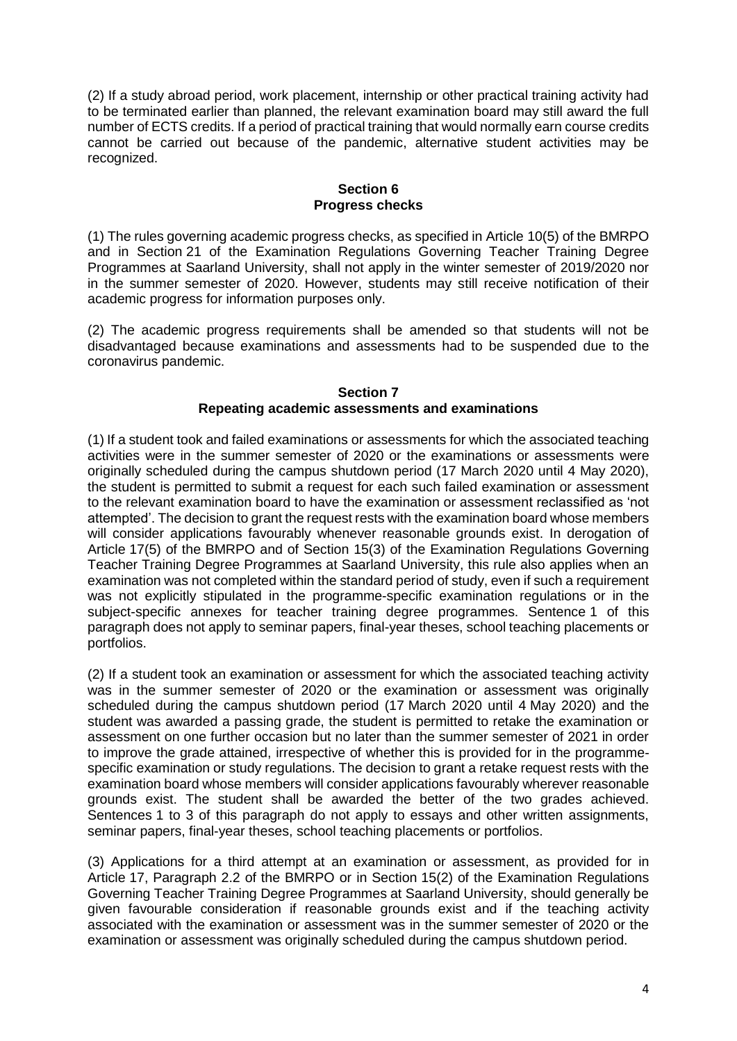(2) If a study abroad period, work placement, internship or other practical training activity had to be terminated earlier than planned, the relevant examination board may still award the full number of ECTS credits. If a period of practical training that would normally earn course credits cannot be carried out because of the pandemic, alternative student activities may be recognized.

### **Section 6 Progress checks**

(1) The rules governing academic progress checks, as specified in Article 10(5) of the BMRPO and in Section 21 of the Examination Regulations Governing Teacher Training Degree Programmes at Saarland University, shall not apply in the winter semester of 2019/2020 nor in the summer semester of 2020. However, students may still receive notification of their academic progress for information purposes only.

(2) The academic progress requirements shall be amended so that students will not be disadvantaged because examinations and assessments had to be suspended due to the coronavirus pandemic.

#### **Section 7 Repeating academic assessments and examinations**

(1) If a student took and failed examinations or assessments for which the associated teaching activities were in the summer semester of 2020 or the examinations or assessments were originally scheduled during the campus shutdown period (17 March 2020 until 4 May 2020), the student is permitted to submit a request for each such failed examination or assessment to the relevant examination board to have the examination or assessment reclassified as 'not attempted'. The decision to grant the request rests with the examination board whose members will consider applications favourably whenever reasonable grounds exist. In derogation of Article 17(5) of the BMRPO and of Section 15(3) of the Examination Regulations Governing Teacher Training Degree Programmes at Saarland University, this rule also applies when an examination was not completed within the standard period of study, even if such a requirement was not explicitly stipulated in the programme-specific examination regulations or in the subject-specific annexes for teacher training degree programmes. Sentence 1 of this paragraph does not apply to seminar papers, final-year theses, school teaching placements or portfolios.

(2) If a student took an examination or assessment for which the associated teaching activity was in the summer semester of 2020 or the examination or assessment was originally scheduled during the campus shutdown period (17 March 2020 until 4 May 2020) and the student was awarded a passing grade, the student is permitted to retake the examination or assessment on one further occasion but no later than the summer semester of 2021 in order to improve the grade attained, irrespective of whether this is provided for in the programmespecific examination or study regulations. The decision to grant a retake request rests with the examination board whose members will consider applications favourably wherever reasonable grounds exist. The student shall be awarded the better of the two grades achieved. Sentences 1 to 3 of this paragraph do not apply to essays and other written assignments, seminar papers, final-year theses, school teaching placements or portfolios.

(3) Applications for a third attempt at an examination or assessment, as provided for in Article 17, Paragraph 2.2 of the BMRPO or in Section 15(2) of the Examination Regulations Governing Teacher Training Degree Programmes at Saarland University, should generally be given favourable consideration if reasonable grounds exist and if the teaching activity associated with the examination or assessment was in the summer semester of 2020 or the examination or assessment was originally scheduled during the campus shutdown period.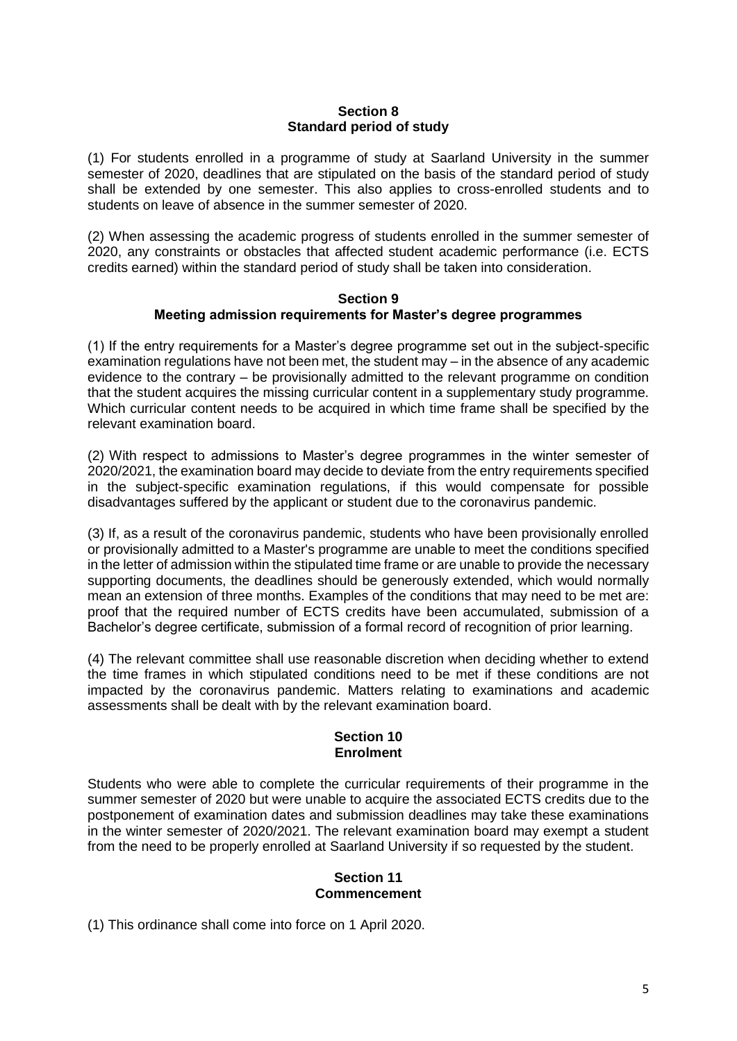# **Section 8 Standard period of study**

(1) For students enrolled in a programme of study at Saarland University in the summer semester of 2020, deadlines that are stipulated on the basis of the standard period of study shall be extended by one semester. This also applies to cross-enrolled students and to students on leave of absence in the summer semester of 2020.

(2) When assessing the academic progress of students enrolled in the summer semester of 2020, any constraints or obstacles that affected student academic performance (i.e. ECTS credits earned) within the standard period of study shall be taken into consideration.

#### **Section 9 Meeting admission requirements for Master's degree programmes**

(1) If the entry requirements for a Master's degree programme set out in the subject-specific examination regulations have not been met, the student may – in the absence of any academic evidence to the contrary – be provisionally admitted to the relevant programme on condition that the student acquires the missing curricular content in a supplementary study programme. Which curricular content needs to be acquired in which time frame shall be specified by the relevant examination board.

(2) With respect to admissions to Master's degree programmes in the winter semester of 2020/2021, the examination board may decide to deviate from the entry requirements specified in the subject-specific examination regulations, if this would compensate for possible disadvantages suffered by the applicant or student due to the coronavirus pandemic.

(3) If, as a result of the coronavirus pandemic, students who have been provisionally enrolled or provisionally admitted to a Master's programme are unable to meet the conditions specified in the letter of admission within the stipulated time frame or are unable to provide the necessary supporting documents, the deadlines should be generously extended, which would normally mean an extension of three months. Examples of the conditions that may need to be met are: proof that the required number of ECTS credits have been accumulated, submission of a Bachelor's degree certificate, submission of a formal record of recognition of prior learning.

(4) The relevant committee shall use reasonable discretion when deciding whether to extend the time frames in which stipulated conditions need to be met if these conditions are not impacted by the coronavirus pandemic. Matters relating to examinations and academic assessments shall be dealt with by the relevant examination board.

### **Section 10 Enrolment**

Students who were able to complete the curricular requirements of their programme in the summer semester of 2020 but were unable to acquire the associated ECTS credits due to the postponement of examination dates and submission deadlines may take these examinations in the winter semester of 2020/2021. The relevant examination board may exempt a student from the need to be properly enrolled at Saarland University if so requested by the student.

### **Section 11 Commencement**

(1) This ordinance shall come into force on 1 April 2020.